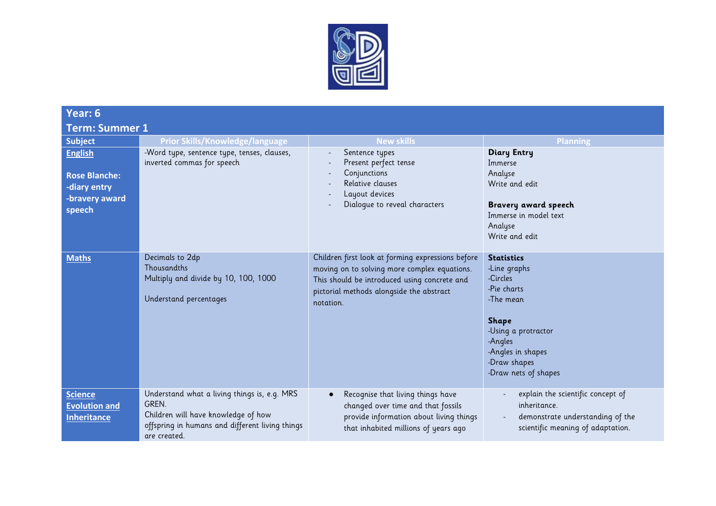

| Year: 6                                                                            |                                                                                                                                                                 |                                                                                                                                                                                                            |                                                                                                                                                                                          |  |
|------------------------------------------------------------------------------------|-----------------------------------------------------------------------------------------------------------------------------------------------------------------|------------------------------------------------------------------------------------------------------------------------------------------------------------------------------------------------------------|------------------------------------------------------------------------------------------------------------------------------------------------------------------------------------------|--|
| <b>Term: Summer 1</b>                                                              |                                                                                                                                                                 |                                                                                                                                                                                                            |                                                                                                                                                                                          |  |
| <b>Subject</b>                                                                     | <b>Prior Skills/Knowledge/language</b>                                                                                                                          | <b>New skills</b>                                                                                                                                                                                          | <b>Planning</b>                                                                                                                                                                          |  |
| <b>English</b><br><b>Rose Blanche:</b><br>-diary entry<br>-bravery award<br>speech | -Word type, sentence type, tenses, clauses,<br>inverted commas for speech                                                                                       | Sentence types<br>Present perfect tense<br>Conjunctions<br>Relative clauses<br>Layout devices<br>Dialogue to reveal characters                                                                             | <b>Diary Entry</b><br>Immerse<br>Analyse<br>Write and edit<br>Bravery award speech<br>Immerse in model text<br>Analyse<br>Write and edit                                                 |  |
| <b>Maths</b>                                                                       | Decimals to 2dp<br>Thousandths<br>Multiply and divide by 10, 100, 1000<br>Understand percentages                                                                | Children first look at forming expressions before<br>moving on to solving more complex equations.<br>This should be introduced using concrete and<br>pictorial methods alongside the abstract<br>notation. | <b>Statistics</b><br>-Line graphs<br>-Circles<br>-Pie charts<br>-The mean<br><b>Shape</b><br>-Using a protractor<br>-Angles<br>-Angles in shapes<br>-Draw shapes<br>-Draw nets of shapes |  |
| <b>Science</b><br><b>Evolution and</b><br><b>Inheritance</b>                       | Understand what a living things is, e.g. MRS<br>GREN.<br>Children will have knowledge of how<br>offspring in humans and different living things<br>are created. | Recognise that living things have<br>$\bullet$<br>changed over time and that fossils<br>provide information about living things<br>that inhabited millions of years ago                                    | explain the scientific concept of<br>inheritance.<br>demonstrate understanding of the<br>scientific meaning of adaptation.                                                               |  |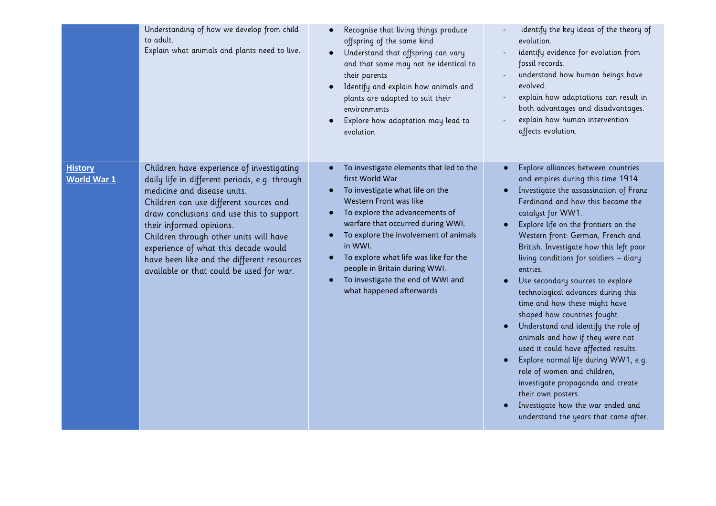|                                      | Understanding of how we develop from child<br>to adult.<br>Explain what animals and plants need to live.                                                                                                                                                                                                                                                                                                                | Recognise that living things produce<br>offspring of the same kind<br>Understand that offspring can vary<br>and that some may not be identical to<br>their parents<br>Identify and explain how animals and<br>plants are adapted to suit their<br>environments<br>Explore how adaptation may lead to<br>evolution                                                                             | identify the key ideas of the theory of<br>evolution.<br>identify evidence for evolution from<br>fossil records.<br>understand how human beings have<br>evolved.<br>explain how adaptations can result in<br>both advantages and disadvantages.<br>explain how human intervention<br>affects evolution.                                                                                                                                                                                                                                                                                                                                                                                                                                                                                                                                   |
|--------------------------------------|-------------------------------------------------------------------------------------------------------------------------------------------------------------------------------------------------------------------------------------------------------------------------------------------------------------------------------------------------------------------------------------------------------------------------|-----------------------------------------------------------------------------------------------------------------------------------------------------------------------------------------------------------------------------------------------------------------------------------------------------------------------------------------------------------------------------------------------|-------------------------------------------------------------------------------------------------------------------------------------------------------------------------------------------------------------------------------------------------------------------------------------------------------------------------------------------------------------------------------------------------------------------------------------------------------------------------------------------------------------------------------------------------------------------------------------------------------------------------------------------------------------------------------------------------------------------------------------------------------------------------------------------------------------------------------------------|
| <b>History</b><br><b>World War 1</b> | Children have experience of investigating<br>daily life in different periods, e.g. through<br>medicine and disease units.<br>Children can use different sources and<br>draw conclusions and use this to support<br>their informed opinions.<br>Children through other units will have<br>experience of what this decade would<br>have been like and the different resources<br>available or that could be used for war. | To investigate elements that led to the<br>first World War<br>To investigate what life on the<br>Western Front was like<br>To explore the advancements of<br>warfare that occurred during WWI.<br>To explore the involvement of animals<br>in WWI.<br>To explore what life was like for the<br>people in Britain during WWI.<br>To investigate the end of WWI and<br>what happened afterwards | Explore alliances between countries<br>and empires during this time 1914.<br>Investigate the assassination of Franz<br>Ferdinand and how this became the<br>catalyst for WW1.<br>Explore life on the frontiers on the<br>Western front: German, French and<br>British. Investigate how this left poor<br>living conditions for soldiers - diary<br>entries.<br>Use secondary sources to explore<br>technological advances during this<br>time and how these might have<br>shaped how countries fought.<br>Understand and identify the role of<br>animals and how if they were not<br>used it could have affected results.<br>Explore normal life during WW1, e.g.<br>role of women and children,<br>investigate propaganda and create<br>their own posters.<br>Investigate how the war ended and<br>understand the years that came after. |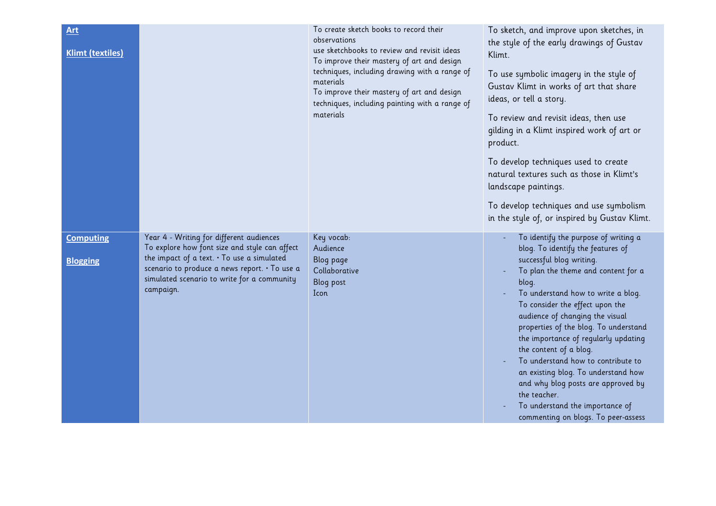| <b>Art</b><br><b>Klimt (textiles)</b> |                                                                                                                                                                                                                                                      | To create sketch books to record their<br>observations<br>use sketchbooks to review and revisit ideas                                                                                                                 | To sketch, and improve upon sketches, in<br>the style of the early drawings of Gustav<br>Klimt.                                                                                                                                                                                                                                                                                                                                                                                                                                                                                           |
|---------------------------------------|------------------------------------------------------------------------------------------------------------------------------------------------------------------------------------------------------------------------------------------------------|-----------------------------------------------------------------------------------------------------------------------------------------------------------------------------------------------------------------------|-------------------------------------------------------------------------------------------------------------------------------------------------------------------------------------------------------------------------------------------------------------------------------------------------------------------------------------------------------------------------------------------------------------------------------------------------------------------------------------------------------------------------------------------------------------------------------------------|
|                                       |                                                                                                                                                                                                                                                      | To improve their mastery of art and design<br>techniques, including drawing with a range of<br>materials<br>To improve their mastery of art and design<br>techniques, including painting with a range of<br>materials | To use symbolic imagery in the style of<br>Gustav Klimt in works of art that share<br>ideas, or tell a story.<br>To review and revisit ideas, then use<br>gilding in a Klimt inspired work of art or<br>product.<br>To develop techniques used to create<br>natural textures such as those in Klimt's<br>landscape paintings.<br>To develop techniques and use symbolism                                                                                                                                                                                                                  |
|                                       |                                                                                                                                                                                                                                                      |                                                                                                                                                                                                                       | in the style of, or inspired by Gustav Klimt.                                                                                                                                                                                                                                                                                                                                                                                                                                                                                                                                             |
| <b>Computing</b><br><b>Blogging</b>   | Year 4 - Writing for different audiences<br>To explore how font size and style can affect<br>the impact of a text. . To use a simulated<br>scenario to produce a news report. • To use a<br>simulated scenario to write for a community<br>campaign. | Key vocab:<br>Audience<br>Blog page<br>Collaborative<br>Blog post<br>Icon                                                                                                                                             | To identify the purpose of writing a<br>blog. To identify the features of<br>successful blog writing.<br>To plan the theme and content for a<br>blog.<br>To understand how to write a blog.<br>To consider the effect upon the<br>audience of changing the visual<br>properties of the blog. To understand<br>the importance of regularly updating<br>the content of a blog.<br>To understand how to contribute to<br>an existing blog. To understand how<br>and why blog posts are approved by<br>the teacher.<br>To understand the importance of<br>commenting on blogs. To peer-assess |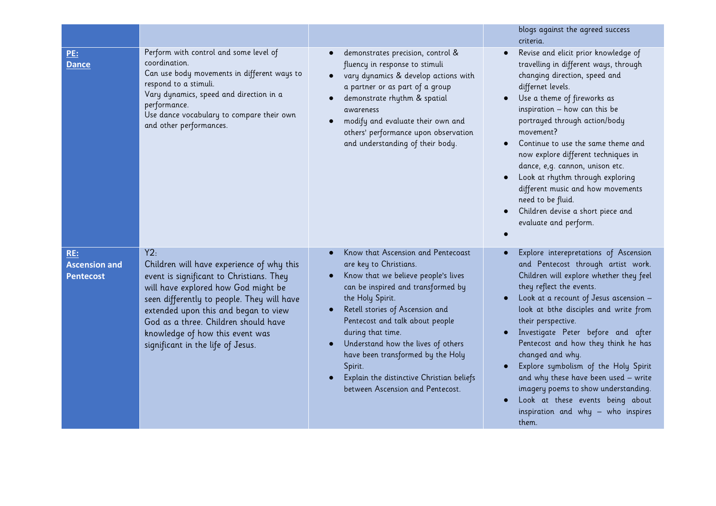|                                                        |                                                                                                                                                                                                                                                                                                                                           |                                                                                                                                                                                                                                                                                                                                                                                                                                 | blogs against the agreed success<br>criteria.                                                                                                                                                                                                                                                                                                                                                                                                                                                                                                                           |
|--------------------------------------------------------|-------------------------------------------------------------------------------------------------------------------------------------------------------------------------------------------------------------------------------------------------------------------------------------------------------------------------------------------|---------------------------------------------------------------------------------------------------------------------------------------------------------------------------------------------------------------------------------------------------------------------------------------------------------------------------------------------------------------------------------------------------------------------------------|-------------------------------------------------------------------------------------------------------------------------------------------------------------------------------------------------------------------------------------------------------------------------------------------------------------------------------------------------------------------------------------------------------------------------------------------------------------------------------------------------------------------------------------------------------------------------|
| <u>PE:</u><br><b>Dance</b>                             | Perform with control and some level of<br>coordination.<br>Can use body movements in different ways to<br>respond to a stimuli.<br>Vary dynamics, speed and direction in a<br>performance.<br>Use dance vocabulary to compare their own<br>and other performances.                                                                        | demonstrates precision, control &<br>fluency in response to stimuli<br>vary dynamics & develop actions with<br>a partner or as part of a group<br>demonstrate rhythm & spatial<br>awareness<br>modify and evaluate their own and<br>$\bullet$<br>others' performance upon observation<br>and understanding of their body.                                                                                                       | Revise and elicit prior knowledge of<br>travelling in different ways, through<br>changing direction, speed and<br>differnet levels.<br>Use a theme of fireworks as<br>inspiration - how can this be<br>portrayed through action/body<br>movement?<br>Continue to use the same theme and<br>now explore different techniques in<br>dance, e, q. cannon, unison etc.<br>Look at rhythm through exploring<br>different music and how movements<br>need to be fluid.<br>Children devise a short piece and<br>evaluate and perform.                                          |
| <b>RE:</b><br><b>Ascension and</b><br><b>Pentecost</b> | Y2:<br>Children will have experience of why this<br>event is significant to Christians. They<br>will have explored how God might be<br>seen differently to people. They will have<br>extended upon this and began to view<br>God as a three. Children should have<br>knowledge of how this event was<br>significant in the life of Jesus. | Know that Ascension and Pentecoast<br>are key to Christians.<br>Know that we believe people's lives<br>can be inspired and transformed by<br>the Holy Spirit.<br>Retell stories of Ascension and<br>Pentecost and talk about people<br>during that time.<br>Understand how the lives of others<br>have been transformed by the Holy<br>Spirit.<br>Explain the distinctive Christian beliefs<br>between Ascension and Pentecost. | Explore interepretations of Ascension<br>and Pentecost through artist work.<br>Children will explore whether they feel<br>they reflect the events.<br>Look at a recount of Jesus ascension -<br>look at bthe disciples and write from<br>their perspective.<br>Investigate Peter before and after<br>Pentecost and how they think he has<br>changed and why.<br>Explore symbolism of the Holy Spirit<br>and why these have been used - write<br>imagery poems to show understanding.<br>Look at these events being about<br>inspiration and why - who inspires<br>them. |